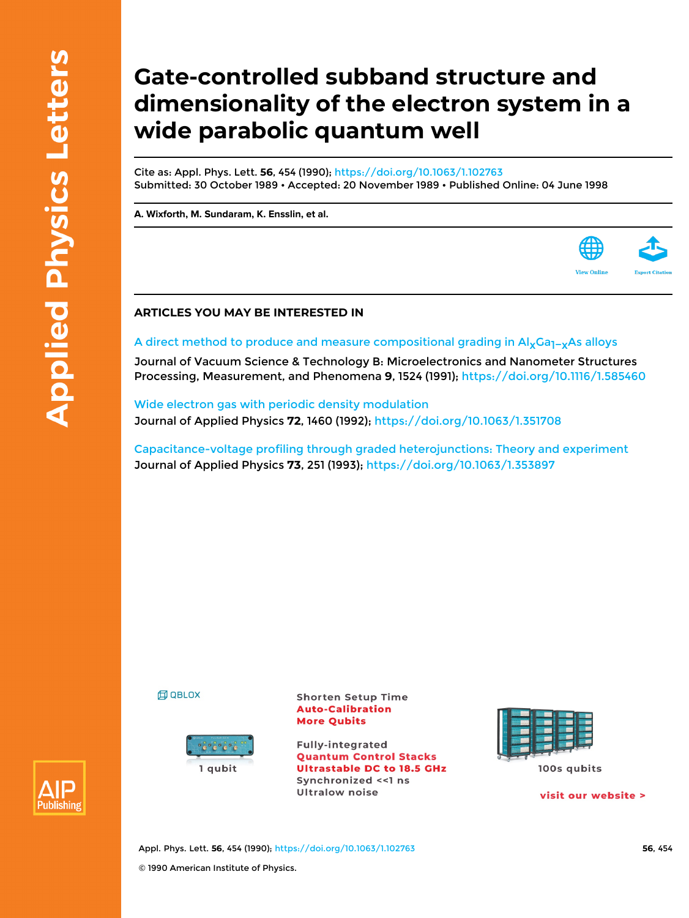## **Gate-controlled subband structure and dimensionality of the electron system in a wide parabolic quantum well**

Cite as: Appl. Phys. Lett. **56**, 454 (1990); <https://doi.org/10.1063/1.102763> Submitted: 30 October 1989 • Accepted: 20 November 1989 • Published Online: 04 June 1998

**[A. Wixforth](https://aip.scitation.org/author/Wixforth%2C+A), [M. Sundaram](https://aip.scitation.org/author/Sundaram%2C+M), [K. Ensslin,](https://aip.scitation.org/author/Ensslin%2C+K) et al.**

## **ARTICLES YOU MAY BE INTERESTED IN**

## A direct method to produce and measure compositional grading in Al<sub>x</sub>Ga<sub>1−x</sub>As alloys

Journal of Vacuum Science & Technology B: Microelectronics and Nanometer Structures Processing, Measurement, and Phenomena **9**, 1524 (1991); <https://doi.org/10.1116/1.585460>

[Wide electron gas with periodic density modulation](https://aip.scitation.org/doi/10.1063/1.351708) Journal of Applied Physics **72**, 1460 (1992);<https://doi.org/10.1063/1.351708>

[Capacitance-voltage profiling through graded heterojunctions: Theory and experiment](https://aip.scitation.org/doi/10.1063/1.353897) Journal of Applied Physics **73**, 251 (1993); <https://doi.org/10.1063/1.353897>

**印 QBLOX** 



**Shorten Setup Time Auto-Calibration More Qubits** 

**Fully-integrated Quantum Control Stacks Ultrastable DC to 18.5 GHz** Synchronized <<1 ns **Ultralow noise** 



100s qubits

visit our website >

**View Onlin** 



Appl. Phys. Lett. **56**, 454 (1990); <https://doi.org/10.1063/1.102763> **56**, 454 © 1990 American Institute of Physics.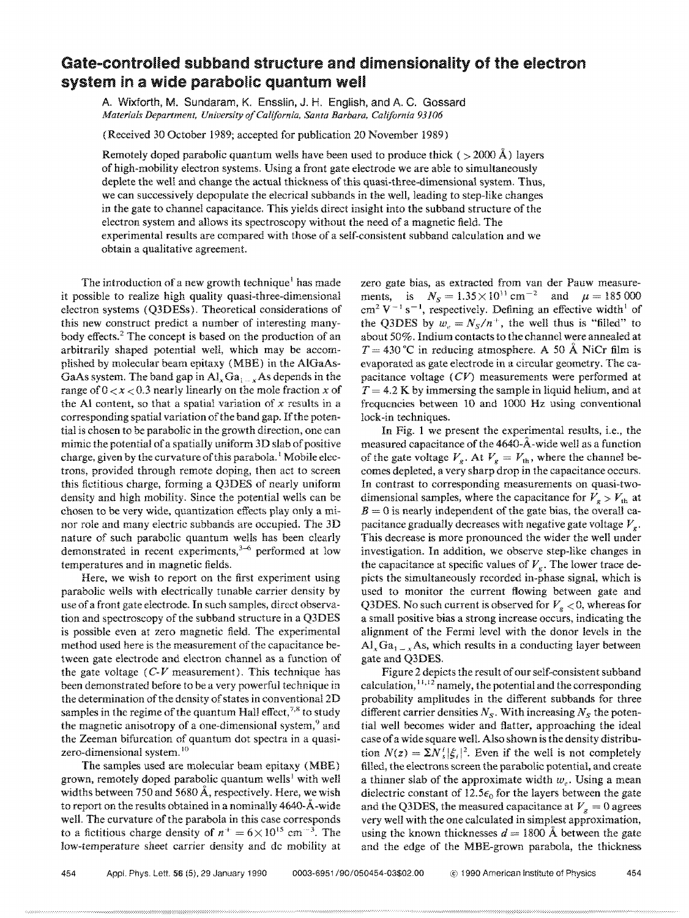## Gate-controlled subband structure and dimensionality of the electron system in a wide parabolic quantum well

A. Wixforth, M. Sundaram, K. Enssiin, J. H. English, and A C. Gossard Material~ *Department, University a/California, Santa Barbara. California 93106* 

(Received 30 October 1989; accepted for publication 20 November 1989)

Remotely doped parabolic quantum wells have been used to produce thick ( $> 2000 \text{ Å}$ ) layers of high-mobility electron systems. Using a front gate electrode we are able to simultaneously deplete the well and change the actual thickness of this quasi-three-dimensional system. Thus, we can successively depopulate the elecrical subbands in the well, leading to step-like changes in the gate to channel capacitance. This yields direct insight into the subband structure of the electron system and allows its spectroscopy without the need of a magnetic field. The experimental results are compared with those of a self-consistent subband calculation and we obtain a qualitative agreement.

The introduction of a new growth technique' has made it possible to realize high quality quasi-three-dimensional electron systems (O3DESs). Theoretical considerations of this new construct predict a number of interesting manybody effects.2 The concept is based on the production of an arbitrarily shaped potential well, which may be accomplished by molecular beam epitaxy (MBE) in the AIGaAs-GaAs system. The band gap in  $Al_xGa_{1-x}As$  depends in the range of 0 *<x* < 0.3 nearly linearly on the mole fraction *x* of the Al content, so that a spatial variation of  $x$  results in a corresponding spatial variation of the band gap. If the potential is chosen to be parabolic in the growth direction, one can mimic the potential of a spatially uniform 3D slab of positive charge, given by the curvature of this parabola.<sup>1</sup> Mobile electrons, provided through remote doping, then act to screen this fictitious charge, forming a Q3DES of nearly uniform density and high mobility. Since the potential wells can be chosen to be very wide, quantization effects play only a minor role and many electric subbands are occupied. The 3D nature of such parabolic quantum wells has been clearly demonstrated in recent experiments, $3-6$  performed at low temperatures and in magnetic fields.

Here, we wish to report on the first experiment using parabolic wells with electrically tunable carrier density by use of a front gate electrode. In such samples, direct observation and spectroscopy of the subband structure in a Q3DES is possible even at zero magnetic field. The experimental method used here is the measurement of the capacitance between gate electrode and electron channel as a function of the gate voltage  $(C-V)$  measurement). This technique has been demonstrated before to be a very powerful technique in the determination of the density of states in conventiona12D samples in the regime of the quantum Hall effect,  $^{7,8}$  to study the magnetic anisotropy of a one-dimensional system,<sup>9</sup> and the Zeeman bifurcation of quantum dot spectra in a quasizero-dimensional system. <sup>10</sup>

The samples used are molecular beam epitaxy (MBE) grown, remotely doped parabolic quantum wells<sup>1</sup> with well widths between 750 and 5680  $\AA$ , respectively. Here, we wish to report on the results obtained in a nominally 4640-A-wide well. The curvature of the parabola in this case corresponds to a fictitious charge density of  $n^+ = 6 \times 10^{15}$  cm<sup>-3</sup>. The low-temperature sheet carrier density and dc mobility at

zero gate bias, as extracted from van der Pauw measurements, is  $N_s = 1.35 \times 10^{11} \text{ cm}^{-2}$  and  $\mu = 185000$  $cm<sup>2</sup> V<sup>-1</sup> s<sup>-1</sup>$ , respectively. Defining an effective width<sup>1</sup> of the Q3DES by  $w_e = N_s/n^+$ , the well thus is "filled" to about 50%. Indium contacts to the channel were annealed at  $T = 430$  °C in reducing atmosphere. A 50 Å NiCr film is evaporated as gate electrode in a circular geometry. The capacitance voltage (CV) measurements were performed at  $T = 4.2$  K by immersing the sample in liquid helium, and at frequencies between 10 and 1000 Hz using conventional lock-in techniques.

In Fig. 1 we present the experimental results, i.e., the measured capacitance of the 4640-A-wide well as a function of the gate voltage  $V_g$ . At  $V_g = V_{th}$ , where the channel becomes depleted, a very sharp drop in the capacitance occurs. In contrast to corresponding measurements on quasi-twodimensional samples, where the capacitance for  $V_g > V_{th}$  at  $B = 0$  is nearly independent of the gate bias, the overall capacitance gradually decreases with negative gate voltage V*<sup>g</sup> •*  This decrease is more pronounced the wider the well under investigation. In addition, we observe step-like changes in the capacitance at specific values of  $V_g$ . The lower trace depicts the simultaneously recorded in-phase signal, which is used to monitor the current flowing between gate and Q3DES. No such current is observed for  $V_g < 0$ , whereas for a small positive bias a strong increase occurs, indicating the alignment of the Fermi level with the donor levels in the  $\text{Al}_x\text{Ga}_{1-x}$  As, which results in a conducting layer between gate and Q3DES.

Figure 2 depicts the result of our self-consistent subband calculation,  $11,12$  namely, the potential and the corresponding probability amplitudes in the different subbands for three different carrier densities  $N<sub>S</sub>$ . With increasing  $N<sub>S</sub>$  the potential well becomes wider and flatter, approaching the ideal case of a wide square well. Also shown is the density distribution  $N(z) = \sum N_i |\xi_i|^2$ . Even if the well is not completely filled, the electrons screen the parabolic potential, and create a thinner slab of the approximate width  $w_e$ . Using a mean dielectric constant of 12.5 $\epsilon_0$  for the layers between the gate and the Q3DES, the measured capacitance at  $V_g = 0$  agrees very well with the one calculated in simplest approximation, using the known thicknesses  $d = 1800$  Å between the gate and the edge of the MBE-grown parabola, the thickness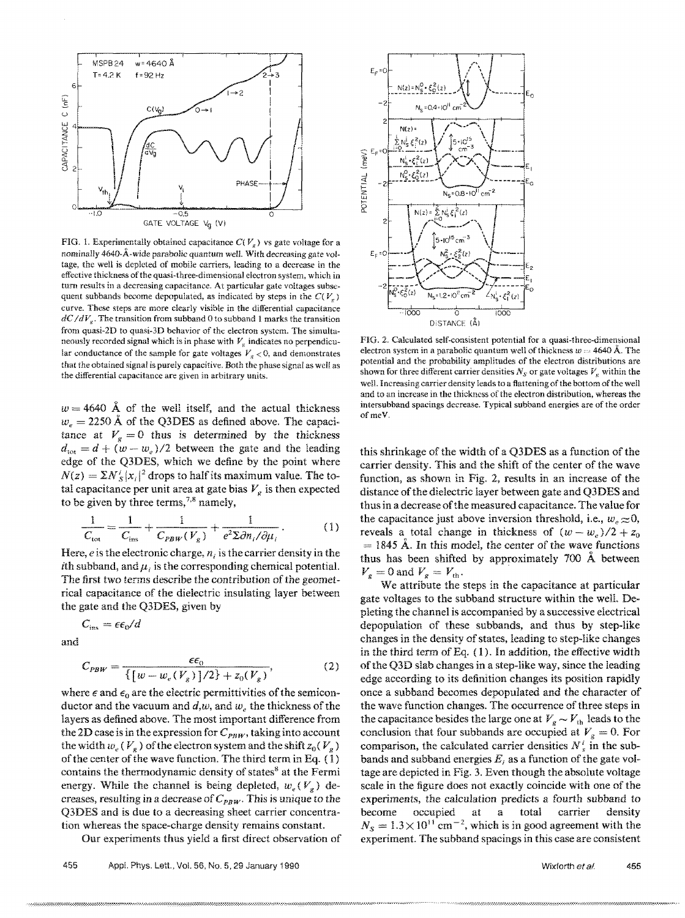

FIG. 1. Experimentally obtained capacitance  $C(V_a)$  vs gate voltage for a nominally 4640-A-wide parabolic quantum well. With decreasing gate voltage, the well is depleted of mobile carriers, leading to a decrease in the effective thickness of the quasi-three-dimensional electron system, which in turn results in a decreasing capacitance. At particular gate voltages subsequent subbands become depopulated, as indicated by steps in the  $C(V_a)$ curve. These steps are more clearly visible in the differential capacitance  $dC/dV<sub>e</sub>$ . The transition from subband 0 to subband 1 marks the transition from quasi-2D to quasi-3D behavior of the electron system. The simultaneously recorded signal which is in phase with  $V_g$  indicates no perpendicular conductance of the sample for gate voltages  $V_g < 0$ , and demonstrates that the obtained signal is purely capacitive. Both the phase signal as well as the differential capacitance are given in arbitrary units.

 $w = 4640$  Å of the well itself, and the actual thickness  $w_e = 2250 \text{ Å}$  of the Q3DES as defined above. The capacitance at  $V_g = 0$  thus is determined by the thickness  $d_{\text{tot}} = d + (w - w_e)/2$  between the gate and the leading edge of the Q3DES, which we define by the point where  $N(z) = \sum N_s^i |x_i|^2$  drops to half its maximum value. The total capacitance per unit area at gate bias  $V_g$  is then expected to be given by three terms,  $7.8$  namely,

$$
\frac{1}{C_{\text{tot}}} = \frac{1}{C_{\text{ins}}} + \frac{1}{C_{PBW}(V_g)} + \frac{1}{e^2 \Sigma \partial n_i / \partial \mu_i}.
$$
 (1)

Here, *e* is the electronic charge, *n*, is the carrier density in the ith subband, and  $\mu$ , is the corresponding chemical potential. The first two terms describe the contribution of the geometrical capacitance of the dielectric insulating layer between the gate and the Q3DES, given by

 $C_{\text{ins}} = \epsilon \epsilon_0 / d$ 

and

$$
C_{PBW} = \frac{\epsilon \epsilon_0}{\{ [w - w_e(V_g)]/2 \} + z_0(V_g)},
$$
 (2)

where  $\epsilon$  and  $\epsilon_0$  are the electric permittivities of the semiconductor and the vacuum and  $d, w$ , and  $w_c$ , the thickness of the layers as defined above. The most important difference from the 2D case is in the expression for  $C_{PBW}$ , taking into account the width  $w_e$  ( $V_g$ ) of the electron system and the shift  $z_0$ ( $V_g$ ) of the center of the wave function. The third term in Eq.  $(1)$ contains the thermodynamic density of states<sup>8</sup> at the Fermi energy. While the channel is being depleted,  $w_e(V_a)$  decreases, resulting in a decrease of  $C_{PBW}$ . This is unique to the Q3DES and is due to a decreasing sheet carrier concentration whereas the space-charge density remains constant.

Our experiments thus yield a first direct observation of



FIG. 2. Calculated self-consistent potential for a quasi-threc-dimensional electron system in a parabolic quantum well of thickness  $w = 4640 \text{ Å}$ . The potential and the probability amplitudes of the electron distributions are shown for three different carrier densities  $N_S$  or gate voltages  $V_g$  within the well. Increasing carrier density leads to a flattening of the bottom of the well and to an increase in the thickness of the electron distribution, whereas the intersubband spacings decrease. Typical subband energies are of the order ofmeV.

this shrinkage of the width of a Q3DES as a function of the carrier density. This and the shift of the center of the wave function, as shown in Fig. 2, results in an increase of the distance ofthe dielectric layer between gate and Q3DES and thus in a decrease of the measured capacitance. The value for the capacitance just above inversion threshold, i.e.,  $w_e \approx 0$ , reveals a total change in thickness of  $(w - w_e)/2 + z_0$  $= 1845$  Å. In this model, the center of the wave functions thus has been shifted by approximately 700 A between  $V_g = 0$  and  $V_g = V_{th}$ .

We attribute the steps in the capacitance at particular gate voltages to the subband structure within the well. Depleting the channel is accompanied by a successive electrical depopulation of these subbands, and thus by step-like changes in the density of states, leading to step-like changes in the third term of Eq. (1). In addition, the effective width ofthe Q3D slab changes in a step-like way, since the leading edge according to its definition changes its position rapidly once a subband becomes depopulated and the character of the wave function changes. The occurrence of three steps in the capacitance besides the large one at  $V_g \sim V_{th}$  leads to the conclusion that four subbands are occupied at  $V<sub>g</sub> = 0$ . For comparison, the calculated carrier densities  $N_s^i$  in the subbands and subband energies *Ei* as a function of the gate voltage are depicted in Fig. 3. Even though the absolute voltage scale in the figure does not exactly coincide with one of the experiments, the calculation predicts a fourth subband to become occupied at a total carrier density  $N_s = 1.3 \times 10^{11}$  cm<sup>-2</sup>, which is in good agreement with the experiment. The subband spacings in this case are consistent

Wixforth et al. 455